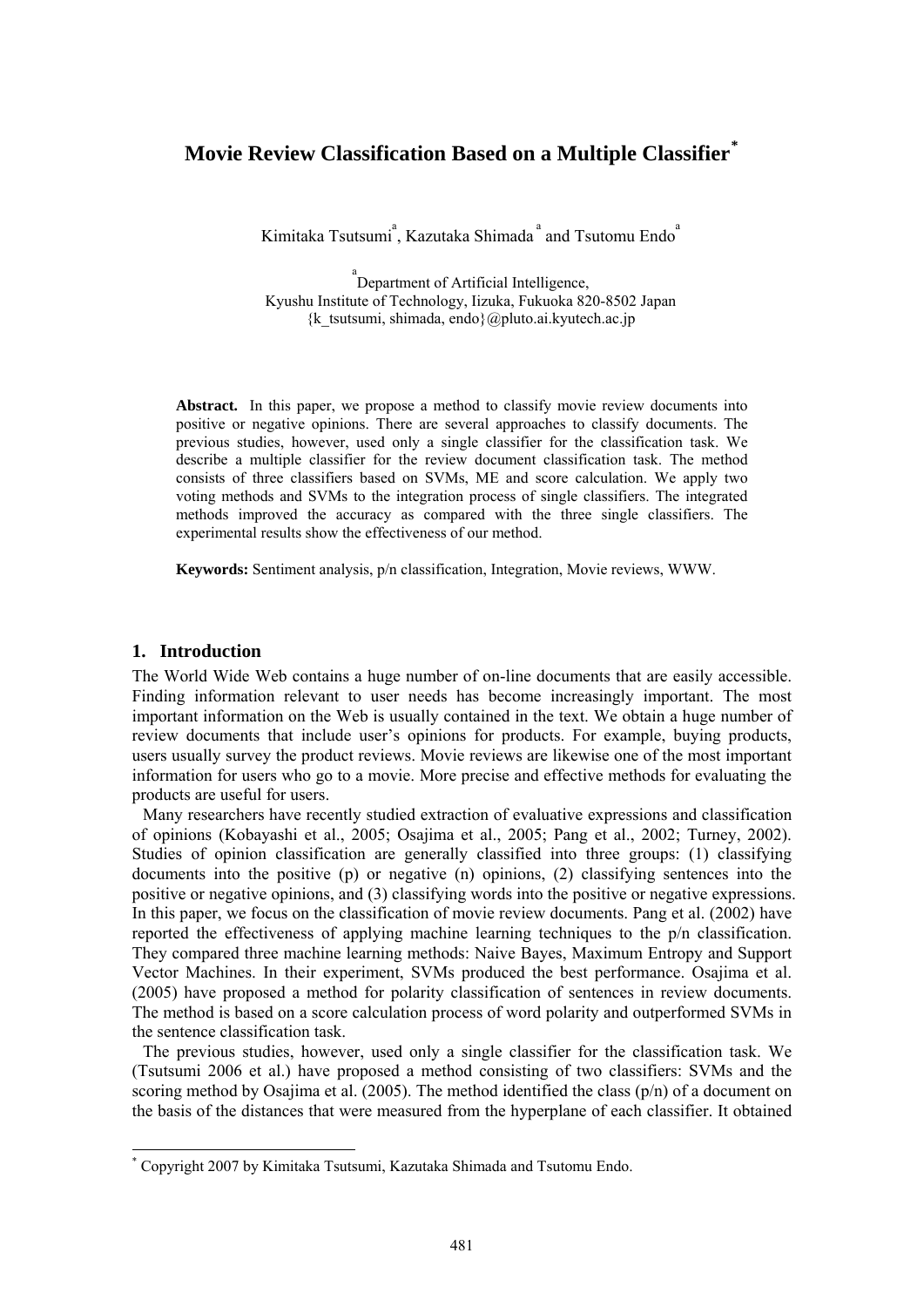# **Movie Review Classification Based on a Multiple Classifier[\\*](#page-0-0)**

Kimitaka Tsutsumi<sup>a</sup>, Kazutaka Shimada<sup>a</sup> and Tsutomu Endo<sup>a</sup>

<sup>a</sup> Department of Artificial Intelligence, Kyushu Institute of Technology, Iizuka, Fukuoka 820-8502 Japan  $\{k$  tsutsumi, shimada, endo $\{a\}$ pluto.ai.kyutech.ac.jp

**Abstract.** In this paper, we propose a method to classify movie review documents into positive or negative opinions. There are several approaches to classify documents. The previous studies, however, used only a single classifier for the classification task. We describe a multiple classifier for the review document classification task. The method consists of three classifiers based on SVMs, ME and score calculation. We apply two voting methods and SVMs to the integration process of single classifiers. The integrated methods improved the accuracy as compared with the three single classifiers. The experimental results show the effectiveness of our method.

**Keywords:** Sentiment analysis, p/n classification, Integration, Movie reviews, WWW.

#### **1. Introduction**

-

The World Wide Web contains a huge number of on-line documents that are easily accessible. Finding information relevant to user needs has become increasingly important. The most important information on the Web is usually contained in the text. We obtain a huge number of review documents that include user's opinions for products. For example, buying products, users usually survey the product reviews. Movie reviews are likewise one of the most important information for users who go to a movie. More precise and effective methods for evaluating the products are useful for users.

 Many researchers have recently studied extraction of evaluative expressions and classification of opinions (Kobayashi et al., 2005; Osajima et al., 2005; Pang et al., 2002; Turney, 2002). Studies of opinion classification are generally classified into three groups: (1) classifying documents into the positive (p) or negative (n) opinions, (2) classifying sentences into the positive or negative opinions, and (3) classifying words into the positive or negative expressions. In this paper, we focus on the classification of movie review documents. Pang et al. (2002) have reported the effectiveness of applying machine learning techniques to the p/n classification. They compared three machine learning methods: Naive Bayes, Maximum Entropy and Support Vector Machines. In their experiment, SVMs produced the best performance. Osajima et al. (2005) have proposed a method for polarity classification of sentences in review documents. The method is based on a score calculation process of word polarity and outperformed SVMs in the sentence classification task.

 The previous studies, however, used only a single classifier for the classification task. We (Tsutsumi 2006 et al.) have proposed a method consisting of two classifiers: SVMs and the scoring method by Osajima et al. (2005). The method identified the class (p/n) of a document on the basis of the distances that were measured from the hyperplane of each classifier. It obtained

<span id="page-0-0"></span><sup>\*</sup> Copyright 2007 by Kimitaka Tsutsumi, Kazutaka Shimada and Tsutomu Endo.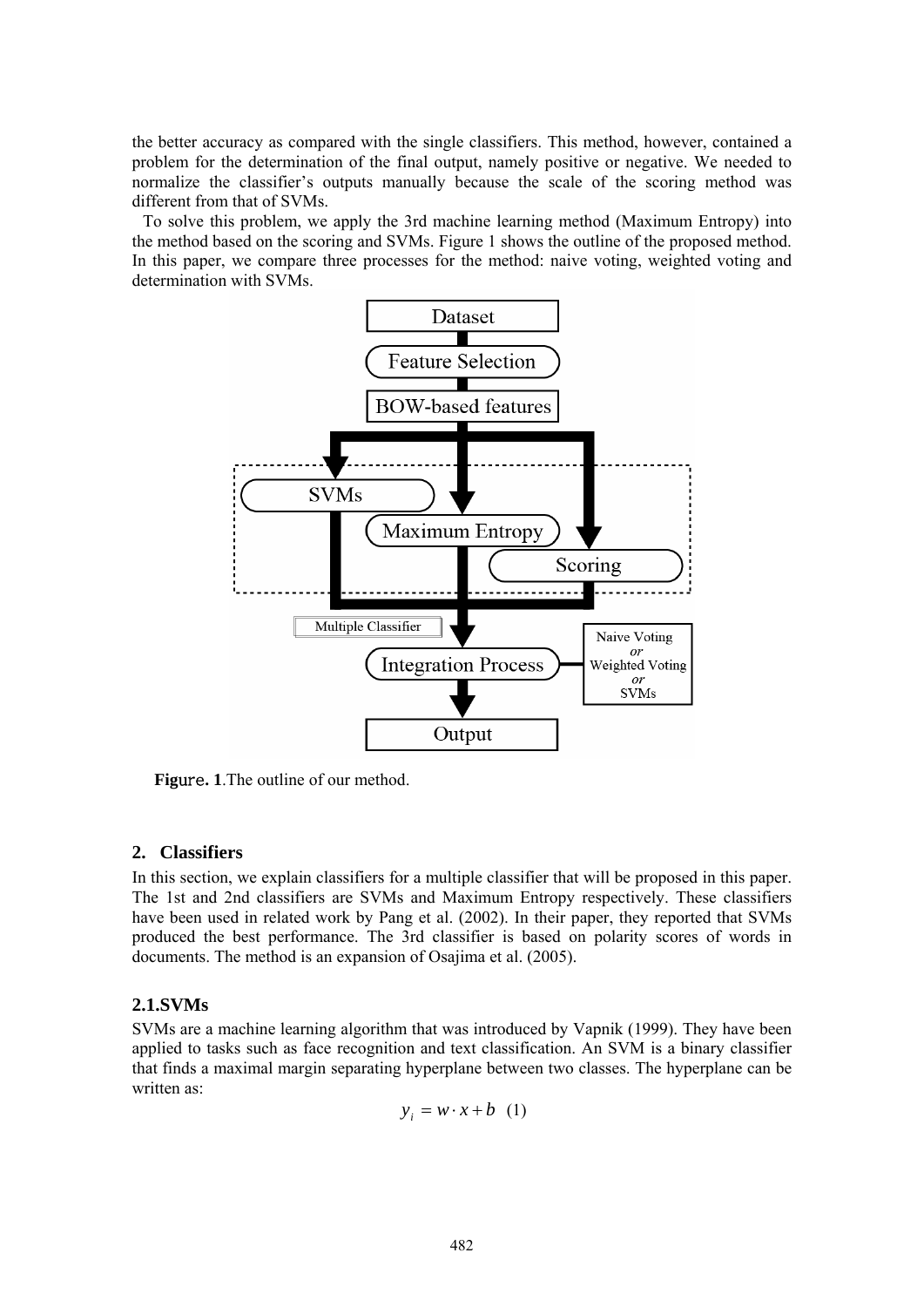the better accuracy as compared with the single classifiers. This method, however, contained a problem for the determination of the final output, namely positive or negative. We needed to normalize the classifier's outputs manually because the scale of the scoring method was different from that of SVMs.

 To solve this problem, we apply the 3rd machine learning method (Maximum Entropy) into the method based on the scoring and SVMs. Figure 1 shows the outline of the proposed method. In this paper, we compare three processes for the method: naive voting, weighted voting and determination with SVMs.



**Fig**ure**. 1**.The outline of our method.

# **2. Classifiers**

In this section, we explain classifiers for a multiple classifier that will be proposed in this paper. The 1st and 2nd classifiers are SVMs and Maximum Entropy respectively. These classifiers have been used in related work by Pang et al. (2002). In their paper, they reported that SVMs produced the best performance. The 3rd classifier is based on polarity scores of words in documents. The method is an expansion of Osajima et al. (2005).

# **2.1.SVMs**

SVMs are a machine learning algorithm that was introduced by Vapnik (1999). They have been applied to tasks such as face recognition and text classification. An SVM is a binary classifier that finds a maximal margin separating hyperplane between two classes. The hyperplane can be written as:

$$
y_i = w \cdot x + b \quad (1)
$$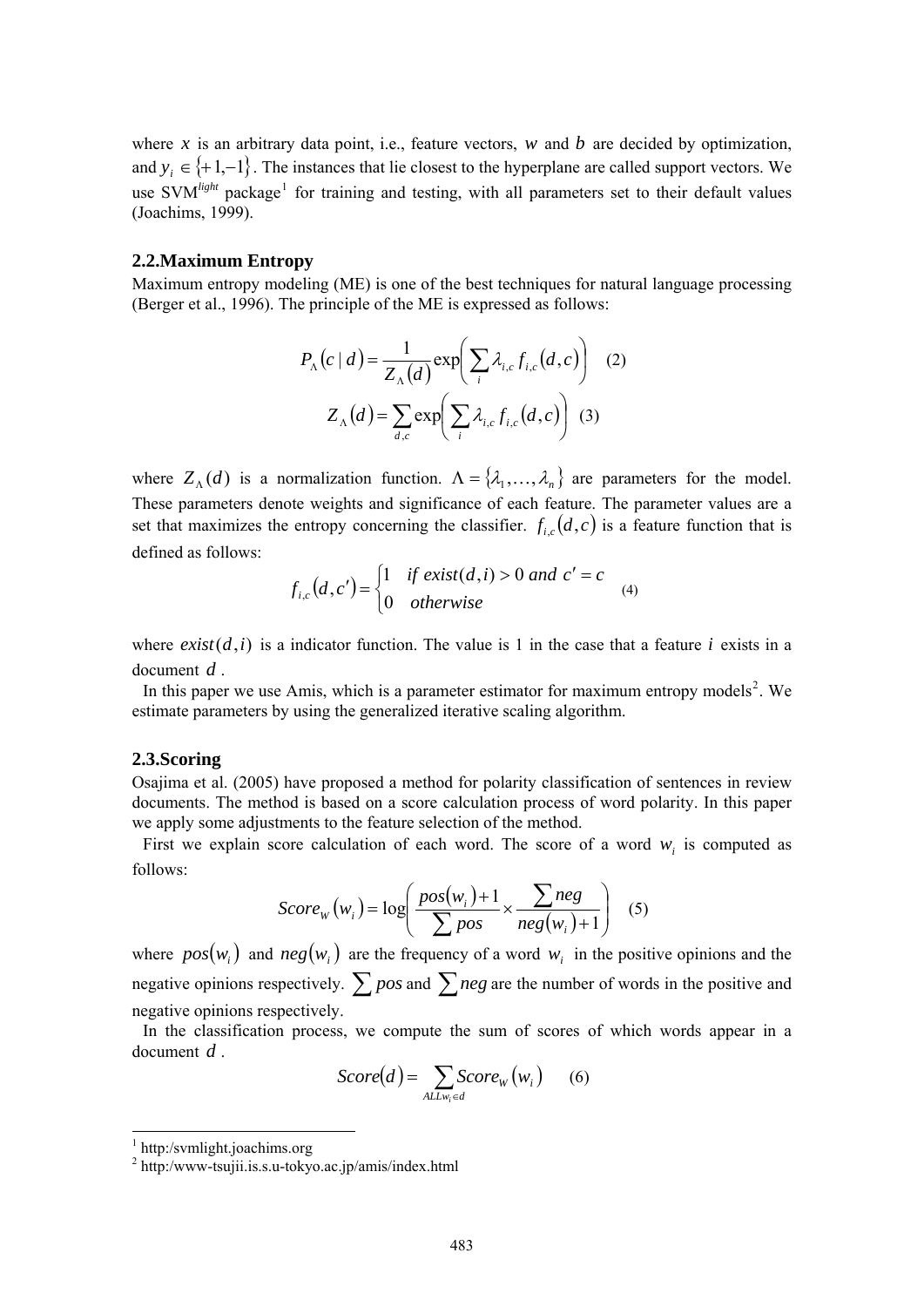where x is an arbitrary data point, i.e., feature vectors,  $w$  and  $b$  are decided by optimization, and  $y_i \in \{+1,-1\}$ . The instances that lie closest to the hyperplane are called support vectors. We use SVM<sup>light</sup> package<sup>[1](#page-2-0)</sup> for training and testing, with all parameters set to their default values (Joachims, 1999).

#### **2.2.Maximum Entropy**

Maximum entropy modeling (ME) is one of the best techniques for natural language processing (Berger et al., 1996). The principle of the ME is expressed as follows:

$$
P_{\Lambda}(c \mid d) = \frac{1}{Z_{\Lambda}(d)} \exp\left(\sum_{i} \lambda_{i,c} f_{i,c}(d, c)\right) \quad (2)
$$

$$
Z_{\Lambda}(d) = \sum_{d,c} \exp\left(\sum_{i} \lambda_{i,c} f_{i,c}(d, c)\right) \quad (3)
$$

where  $Z_{\Lambda}(d)$  is a normalization function.  $\Lambda = \{\lambda_1, \ldots, \lambda_n\}$  are parameters for the model. These parameters denote weights and significance of each feature. The parameter values are a set that maximizes the entropy concerning the classifier.  $f_{i,c}(d, c)$  is a feature function that is defined as follows:

$$
f_{i,c}(d,c') = \begin{cases} 1 & \text{if } exist(d,i) > 0 \text{ and } c' = c \\ 0 & \text{otherwise} \end{cases}
$$
 (4)

where  $exist(d, i)$  is a indicator function. The value is 1 in the case that a feature *i* exists in a document  $d$ .

In this paper we use Amis, which is a parameter estimator for maximum entropy models<sup>[2](#page-2-1)</sup>. We estimate parameters by using the generalized iterative scaling algorithm.

#### **2.3.Scoring**

Osajima et al. (2005) have proposed a method for polarity classification of sentences in review documents. The method is based on a score calculation process of word polarity. In this paper we apply some adjustments to the feature selection of the method.

First we explain score calculation of each word. The score of a word  $w_i$  is computed as follows:

$$
Score_W(w_i) = \log\left(\frac{pos(w_i) + 1}{\sum pos} \times \frac{\sum neg}{neg(w_i) + 1}\right) \quad (5)
$$

where  $pos(w_i)$  and  $neg(w_i)$  are the frequency of a word  $w_i$  in the positive opinions and the negative opinions respectively.  $\sum pos$  and  $\sum neg$  are the number of words in the positive and negative opinions respectively.

 In the classification process, we compute the sum of scores of which words appear in a document *d* .

$$
Score(d) = \sum_{ALLw_i \in d} Score_W(w_i) \qquad (6)
$$

1

<span id="page-2-0"></span><sup>1</sup> http:/svmlight.joachims.org

<span id="page-2-1"></span><sup>2</sup> http:/www-tsujii.is.s.u-tokyo.ac.jp/amis/index.html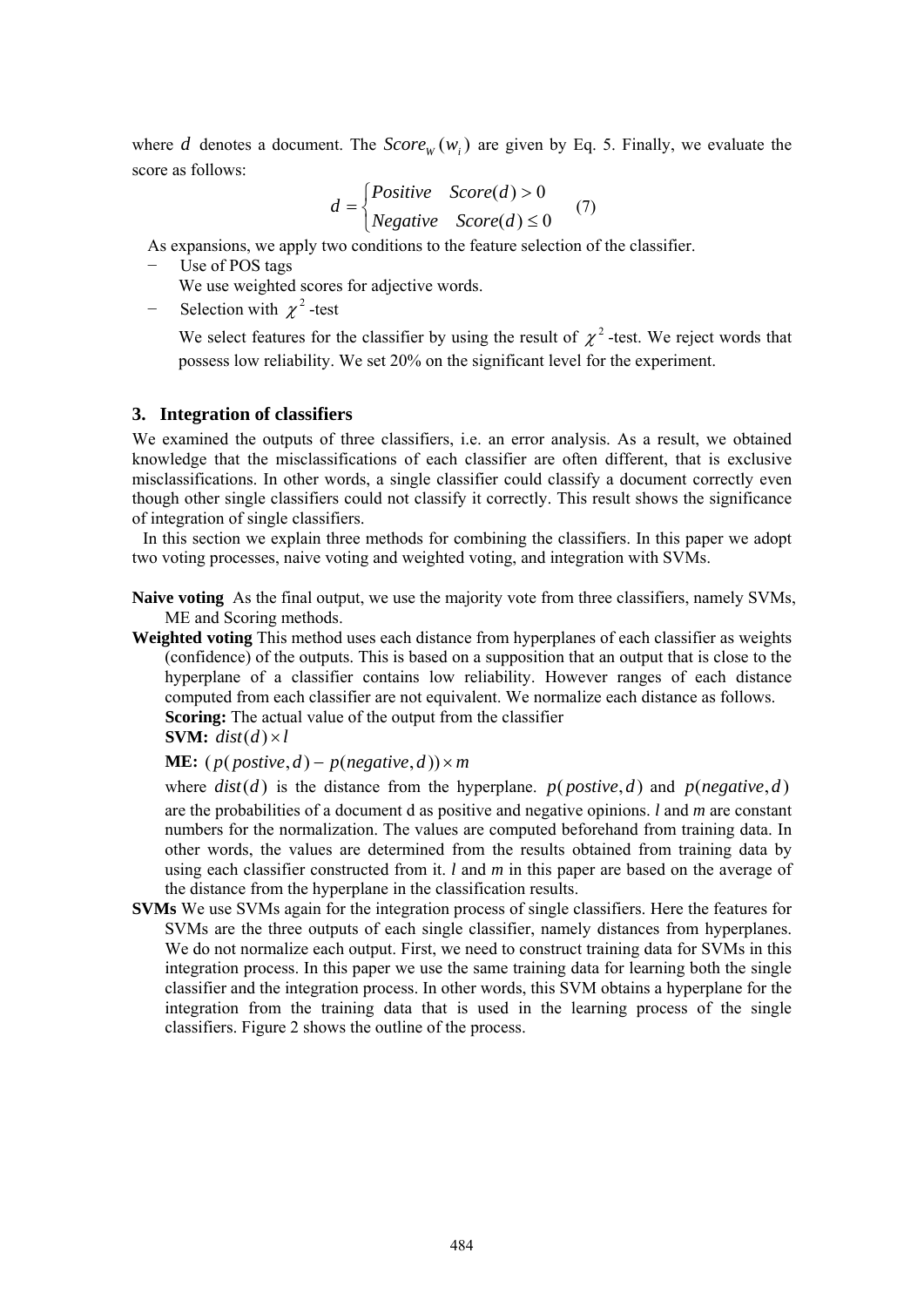where *d* denotes a document. The  $Score_W(w_i)$  are given by Eq. 5. Finally, we evaluate the score as follows:

$$
d = \begin{cases} Positive & Score(d) > 0 \\ Negative & Score(d) \le 0 \end{cases} (7)
$$

As expansions, we apply two conditions to the feature selection of the classifier.

Use of POS tags

We use weighted scores for adjective words.

Selection with  $\chi^2$ -test

We select features for the classifier by using the result of  $\chi^2$ -test. We reject words that possess low reliability. We set 20% on the significant level for the experiment.

# **3. Integration of classifiers**

We examined the outputs of three classifiers, i.e. an error analysis. As a result, we obtained knowledge that the misclassifications of each classifier are often different, that is exclusive misclassifications. In other words, a single classifier could classify a document correctly even though other single classifiers could not classify it correctly. This result shows the significance of integration of single classifiers.

 In this section we explain three methods for combining the classifiers. In this paper we adopt two voting processes, naive voting and weighted voting, and integration with SVMs.

**Naive voting** As the final output, we use the majority vote from three classifiers, namely SVMs, ME and Scoring methods.

**Weighted voting** This method uses each distance from hyperplanes of each classifier as weights (confidence) of the outputs. This is based on a supposition that an output that is close to the hyperplane of a classifier contains low reliability. However ranges of each distance computed from each classifier are not equivalent. We normalize each distance as follows. **Scoring:** The actual value of the output from the classifier

**SVM:**  $dist(d) \times l$ 

**ME:**  $(p(\textit{positive},d) - p(\textit{negative},d)) \times m$ 

where  $dist(d)$  is the distance from the hyperplane.  $p(postive, d)$  and  $p(negative, d)$ are the probabilities of a document d as positive and negative opinions. *l* and *m* are constant numbers for the normalization. The values are computed beforehand from training data. In other words, the values are determined from the results obtained from training data by using each classifier constructed from it. *l* and *m* in this paper are based on the average of the distance from the hyperplane in the classification results.

**SVMs** We use SVMs again for the integration process of single classifiers. Here the features for SVMs are the three outputs of each single classifier, namely distances from hyperplanes. We do not normalize each output. First, we need to construct training data for SVMs in this integration process. In this paper we use the same training data for learning both the single classifier and the integration process. In other words, this SVM obtains a hyperplane for the integration from the training data that is used in the learning process of the single classifiers. Figure 2 shows the outline of the process.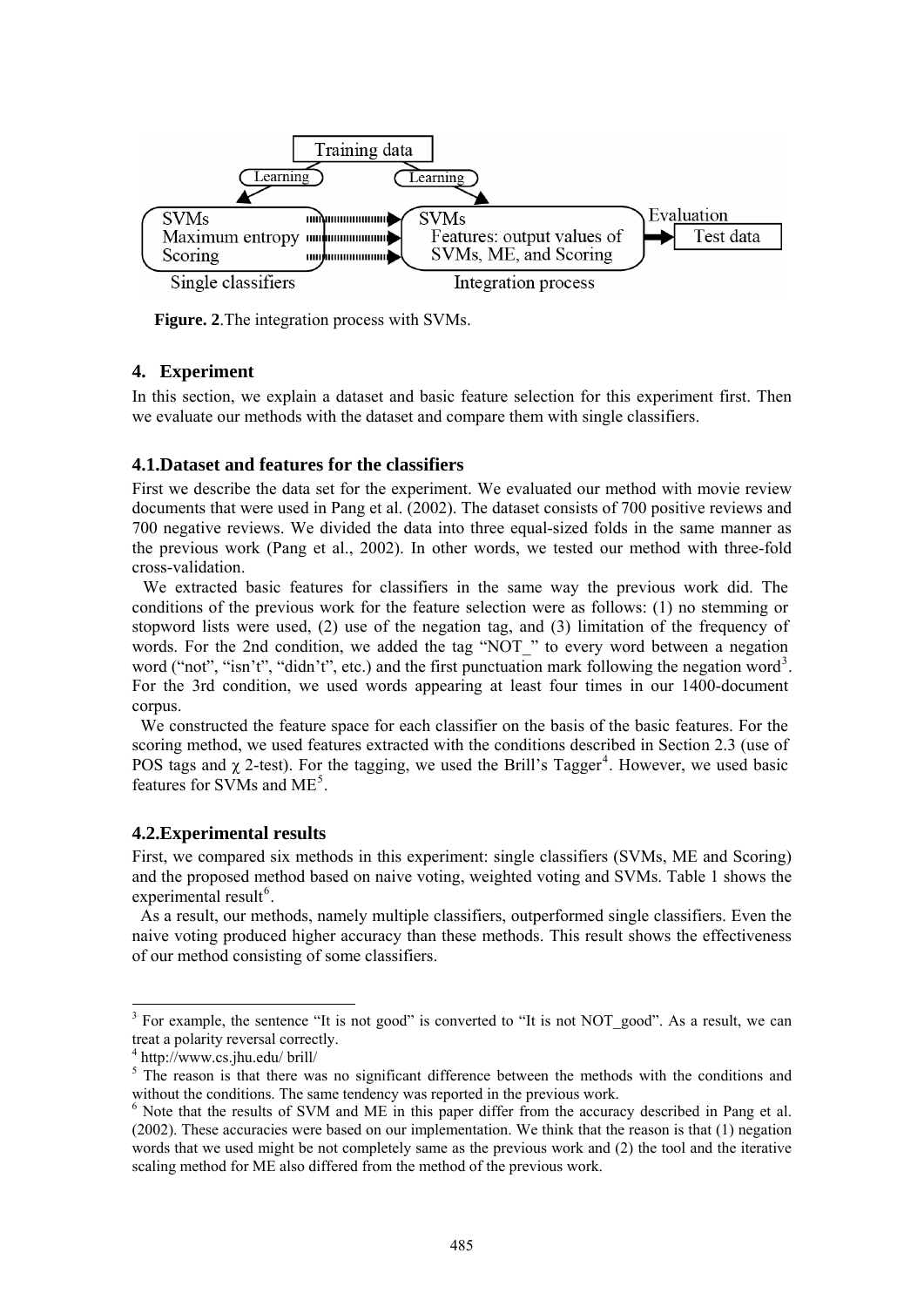

**Figure. 2**.The integration process with SVMs.

# **4. Experiment**

In this section, we explain a dataset and basic feature selection for this experiment first. Then we evaluate our methods with the dataset and compare them with single classifiers.

# **4.1.Dataset and features for the classifiers**

First we describe the data set for the experiment. We evaluated our method with movie review documents that were used in Pang et al. (2002). The dataset consists of 700 positive reviews and 700 negative reviews. We divided the data into three equal-sized folds in the same manner as the previous work (Pang et al., 2002). In other words, we tested our method with three-fold cross-validation.

 We extracted basic features for classifiers in the same way the previous work did. The conditions of the previous work for the feature selection were as follows: (1) no stemming or stopword lists were used, (2) use of the negation tag, and (3) limitation of the frequency of words. For the 2nd condition, we added the tag "NOT\_" to every word between a negation word ("not", "isn't", "didn't", etc.) and the first punctuation mark following the negation word<sup>[3](#page-4-0)</sup>. For the 3rd condition, we used words appearing at least four times in our 1400-document corpus.

We constructed the feature space for each classifier on the basis of the basic features. For the scoring method, we used features extracted with the conditions described in Section 2.3 (use of POS tags and  $\chi$  2-test). For the tagging, we used the Brill's Tagger<sup>[4](#page-4-1)</sup>. However, we used basic features for SVMs and ME<sup>[5](#page-4-2)</sup>.

# **4.2.Experimental results**

First, we compared six methods in this experiment: single classifiers (SVMs, ME and Scoring) and the proposed method based on naive voting, weighted voting and SVMs. Table 1 shows the experimental result<sup>[6](#page-4-3)</sup>.

As a result, our methods, namely multiple classifiers, outperformed single classifiers. Even the naive voting produced higher accuracy than these methods. This result shows the effectiveness of our method consisting of some classifiers.

-

<span id="page-4-0"></span> $3$  For example, the sentence "It is not good" is converted to "It is not NOT\_good". As a result, we can treat a polarity reversal correctly.

<span id="page-4-1"></span><sup>4</sup> http://www.cs.jhu.edu/ brill/

<span id="page-4-2"></span><sup>&</sup>lt;sup>5</sup> The reason is that there was no significant difference between the methods with the conditions and without the conditions. The same tendency was reported in the previous work.

<span id="page-4-3"></span> $6$  Note that the results of SVM and ME in this paper differ from the accuracy described in Pang et al. (2002). These accuracies were based on our implementation. We think that the reason is that (1) negation words that we used might be not completely same as the previous work and (2) the tool and the iterative scaling method for ME also differed from the method of the previous work.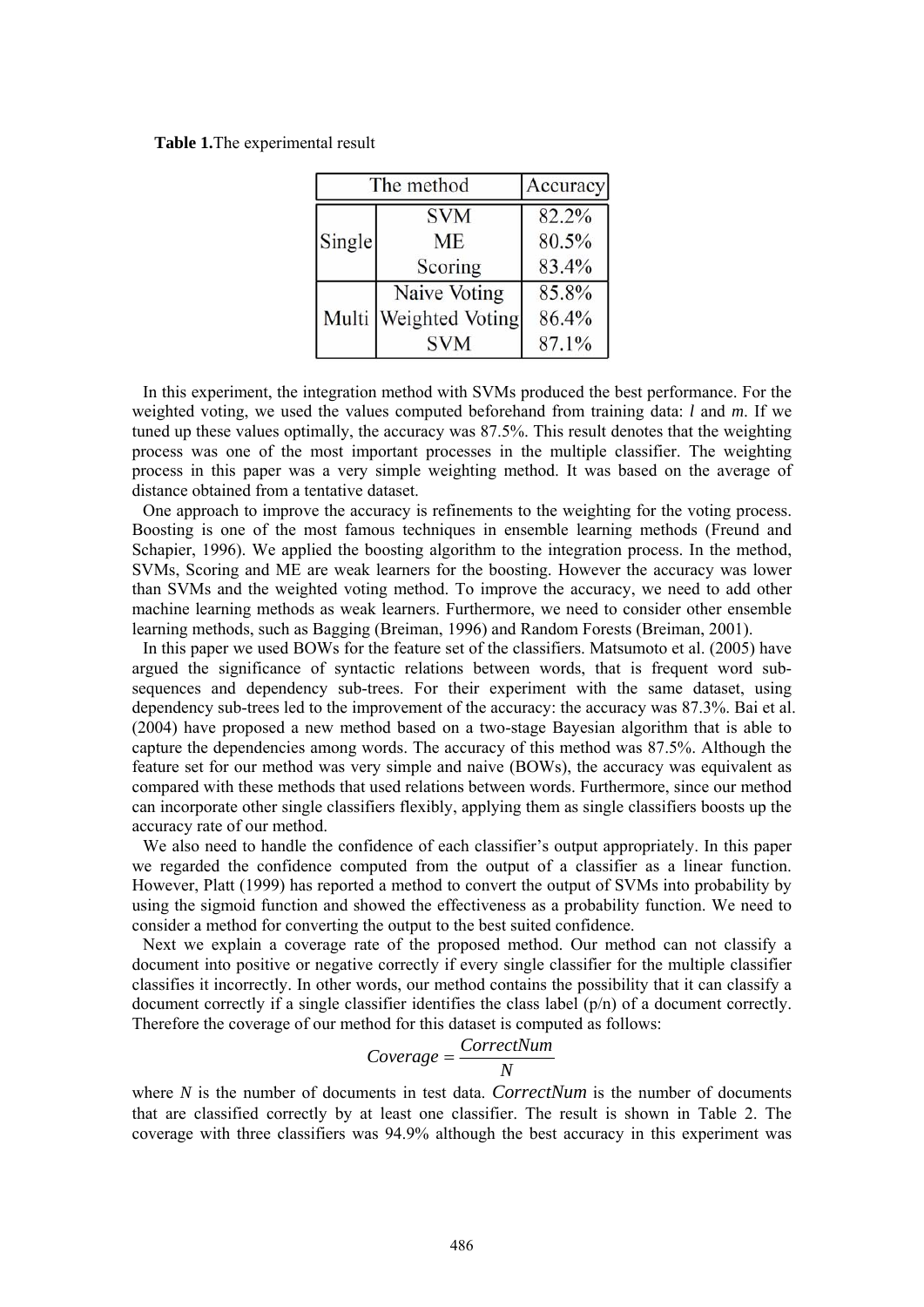**Table 1.**The experimental result

| The method |                       | Accuracy |
|------------|-----------------------|----------|
| Single     | <b>SVM</b>            | 82.2%    |
|            | <b>ME</b>             | 80.5%    |
|            | Scoring               | 83.4%    |
|            | Naive Voting          | 85.8%    |
|            | Multi Weighted Voting | 86.4%    |
|            | <b>SVM</b>            | 87.1%    |

 In this experiment, the integration method with SVMs produced the best performance. For the weighted voting, we used the values computed beforehand from training data: *l* and *m*. If we tuned up these values optimally, the accuracy was 87.5%. This result denotes that the weighting process was one of the most important processes in the multiple classifier. The weighting process in this paper was a very simple weighting method. It was based on the average of distance obtained from a tentative dataset.

 One approach to improve the accuracy is refinements to the weighting for the voting process. Boosting is one of the most famous techniques in ensemble learning methods (Freund and Schapier, 1996). We applied the boosting algorithm to the integration process. In the method, SVMs, Scoring and ME are weak learners for the boosting. However the accuracy was lower than SVMs and the weighted voting method. To improve the accuracy, we need to add other machine learning methods as weak learners. Furthermore, we need to consider other ensemble learning methods, such as Bagging (Breiman, 1996) and Random Forests (Breiman, 2001).

 In this paper we used BOWs for the feature set of the classifiers. Matsumoto et al. (2005) have argued the significance of syntactic relations between words, that is frequent word subsequences and dependency sub-trees. For their experiment with the same dataset, using dependency sub-trees led to the improvement of the accuracy: the accuracy was 87.3%. Bai et al. (2004) have proposed a new method based on a two-stage Bayesian algorithm that is able to capture the dependencies among words. The accuracy of this method was 87.5%. Although the feature set for our method was very simple and naive (BOWs), the accuracy was equivalent as compared with these methods that used relations between words. Furthermore, since our method can incorporate other single classifiers flexibly, applying them as single classifiers boosts up the accuracy rate of our method.

We also need to handle the confidence of each classifier's output appropriately. In this paper we regarded the confidence computed from the output of a classifier as a linear function. However, Platt (1999) has reported a method to convert the output of SVMs into probability by using the sigmoid function and showed the effectiveness as a probability function. We need to consider a method for converting the output to the best suited confidence.

 Next we explain a coverage rate of the proposed method. Our method can not classify a document into positive or negative correctly if every single classifier for the multiple classifier classifies it incorrectly. In other words, our method contains the possibility that it can classify a document correctly if a single classifier identifies the class label (p/n) of a document correctly. Therefore the coverage of our method for this dataset is computed as follows:

$$
Coverage = \frac{CorrectNum}{N}
$$

where *N* is the number of documents in test data. *CorrectNum* is the number of documents that are classified correctly by at least one classifier. The result is shown in Table 2. The coverage with three classifiers was 94.9% although the best accuracy in this experiment was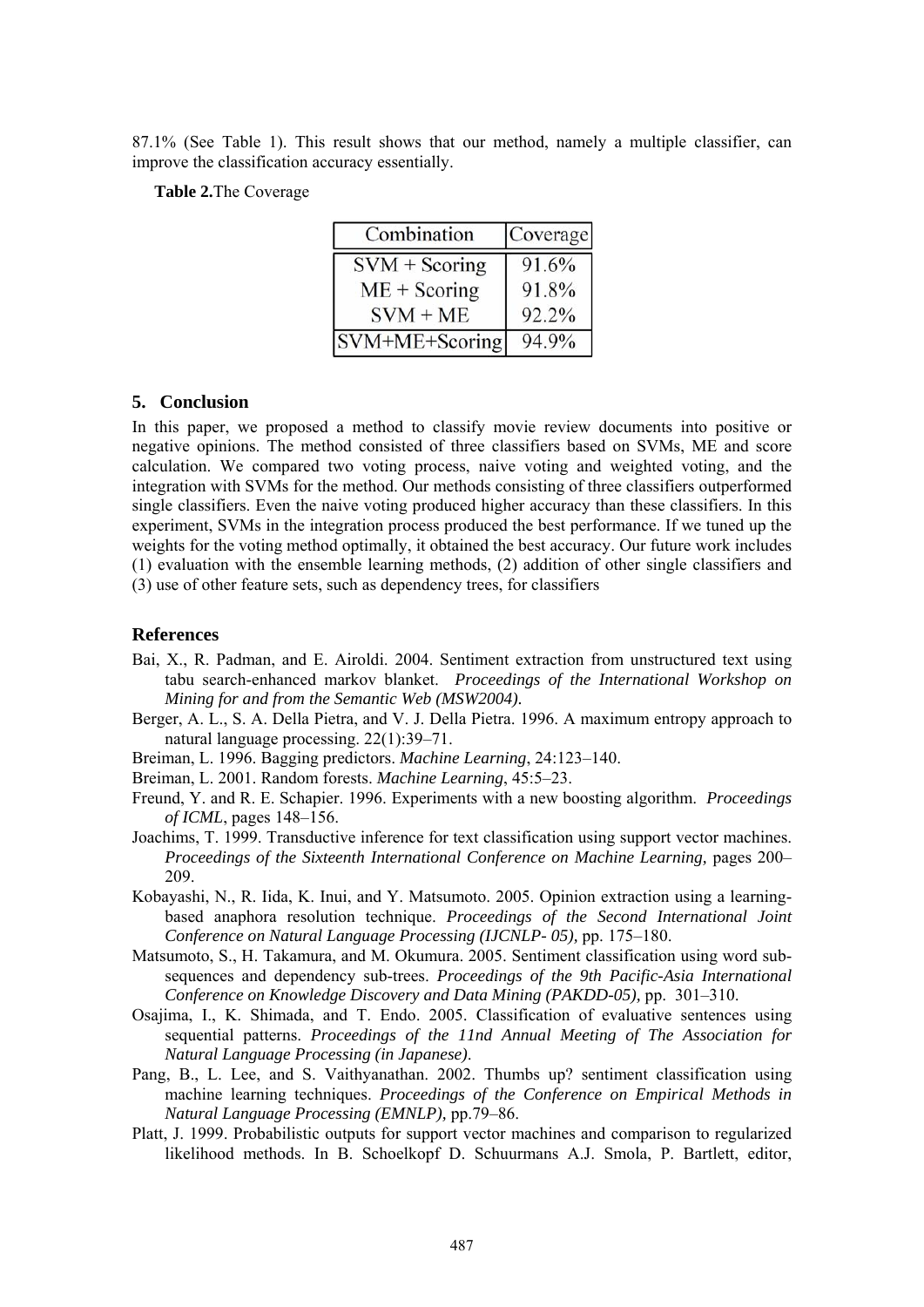87.1% (See Table 1). This result shows that our method, namely a multiple classifier, can improve the classification accuracy essentially.

**Table 2.**The Coverage

| Combination        | Coverage |
|--------------------|----------|
| $SVM + Scoring$    | 91.6%    |
| $ME + Scoring$     | 91.8%    |
| $SVM + ME$         | 92.2%    |
| $ SVM+ME+Scoring $ | 94.9%    |

### **5. Conclusion**

In this paper, we proposed a method to classify movie review documents into positive or negative opinions. The method consisted of three classifiers based on SVMs, ME and score calculation. We compared two voting process, naive voting and weighted voting, and the integration with SVMs for the method. Our methods consisting of three classifiers outperformed single classifiers. Even the naive voting produced higher accuracy than these classifiers. In this experiment, SVMs in the integration process produced the best performance. If we tuned up the weights for the voting method optimally, it obtained the best accuracy. Our future work includes (1) evaluation with the ensemble learning methods, (2) addition of other single classifiers and (3) use of other feature sets, such as dependency trees, for classifiers

# **References**

- Bai, X., R. Padman, and E. Airoldi. 2004. Sentiment extraction from unstructured text using tabu search-enhanced markov blanket. *Proceedings of the International Workshop on Mining for and from the Semantic Web (MSW2004).*
- Berger, A. L., S. A. Della Pietra, and V. J. Della Pietra. 1996. A maximum entropy approach to natural language processing. 22(1):39–71.
- Breiman, L. 1996. Bagging predictors. *Machine Learning*, 24:123–140.

Breiman, L. 2001. Random forests. *Machine Learning*, 45:5–23.

- Freund, Y. and R. E. Schapier. 1996. Experiments with a new boosting algorithm. *Proceedings of ICML*, pages 148–156.
- Joachims, T. 1999. Transductive inference for text classification using support vector machines. *Proceedings of the Sixteenth International Conference on Machine Learning,* pages 200– 209.
- Kobayashi, N., R. Iida, K. Inui, and Y. Matsumoto. 2005. Opinion extraction using a learningbased anaphora resolution technique. *Proceedings of the Second International Joint Conference on Natural Language Processing (IJCNLP- 05),* pp. 175–180.
- Matsumoto, S., H. Takamura, and M. Okumura. 2005. Sentiment classification using word subsequences and dependency sub-trees. *Proceedings of the 9th Pacific-Asia International Conference on Knowledge Discovery and Data Mining (PAKDD-05),* pp. 301–310.
- Osajima, I., K. Shimada, and T. Endo. 2005. Classification of evaluative sentences using sequential patterns. *Proceedings of the 11nd Annual Meeting of The Association for Natural Language Processing (in Japanese)*.
- Pang, B., L. Lee, and S. Vaithyanathan. 2002. Thumbs up? sentiment classification using machine learning techniques. *Proceedings of the Conference on Empirical Methods in Natural Language Processing (EMNLP),* pp.79–86.
- Platt, J. 1999. Probabilistic outputs for support vector machines and comparison to regularized likelihood methods. In B. Schoelkopf D. Schuurmans A.J. Smola, P. Bartlett, editor,